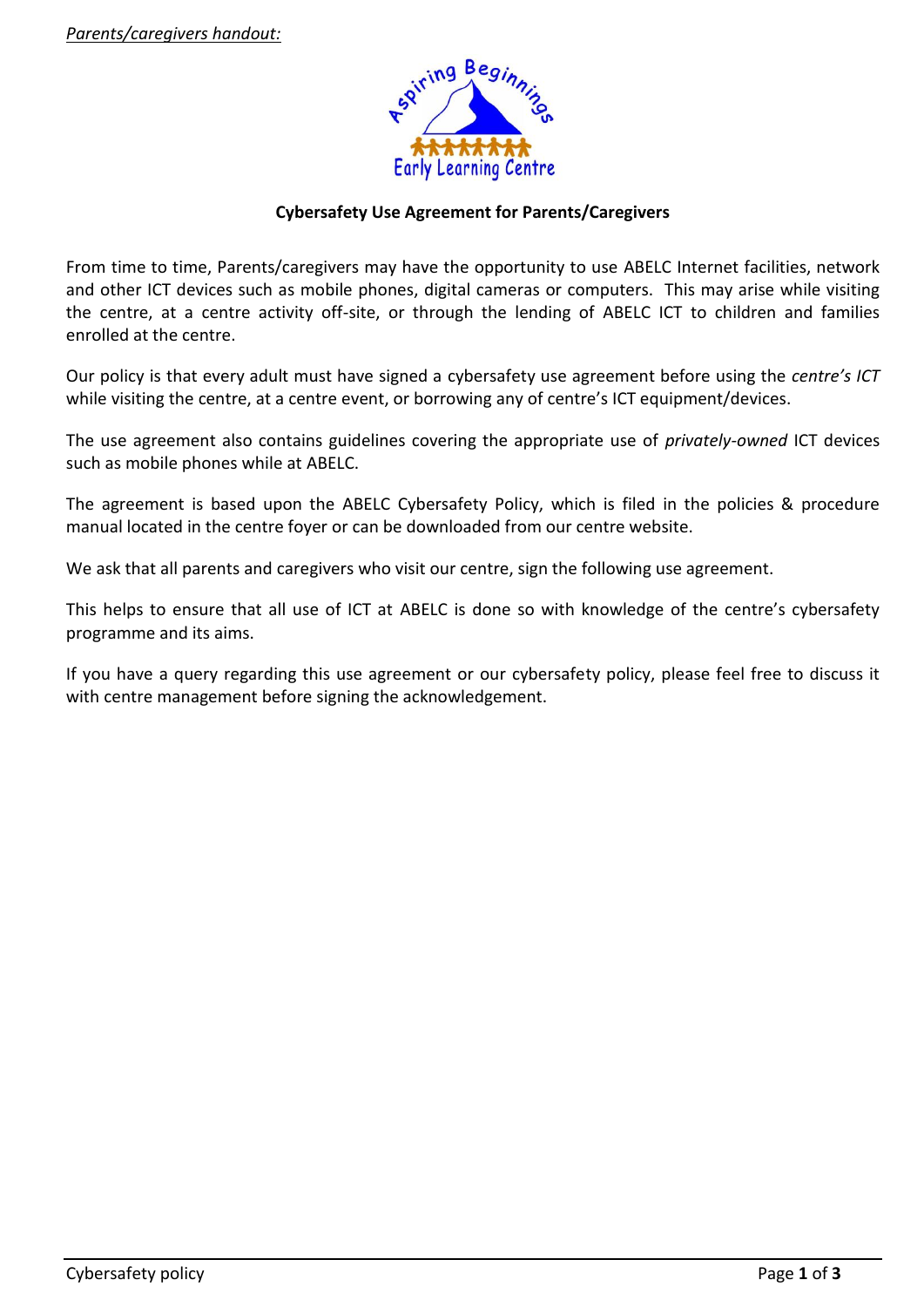

# **Cybersafety Use Agreement for Parents/Caregivers**

From time to time, Parents/caregivers may have the opportunity to use ABELC Internet facilities, network and other ICT devices such as mobile phones, digital cameras or computers. This may arise while visiting the centre, at a centre activity off-site, or through the lending of ABELC ICT to children and families enrolled at the centre.

Our policy is that every adult must have signed a cybersafety use agreement before using the *centre's ICT* while visiting the centre, at a centre event, or borrowing any of centre's ICT equipment/devices.

The use agreement also contains guidelines covering the appropriate use of *privately-owned* ICT devices such as mobile phones while at ABELC.

The agreement is based upon the ABELC Cybersafety Policy, which is filed in the policies & procedure manual located in the centre foyer or can be downloaded from our centre website.

We ask that all parents and caregivers who visit our centre, sign the following use agreement.

This helps to ensure that all use of ICT at ABELC is done so with knowledge of the centre's cybersafety programme and its aims.

If you have a query regarding this use agreement or our cybersafety policy, please feel free to discuss it with centre management before signing the acknowledgement.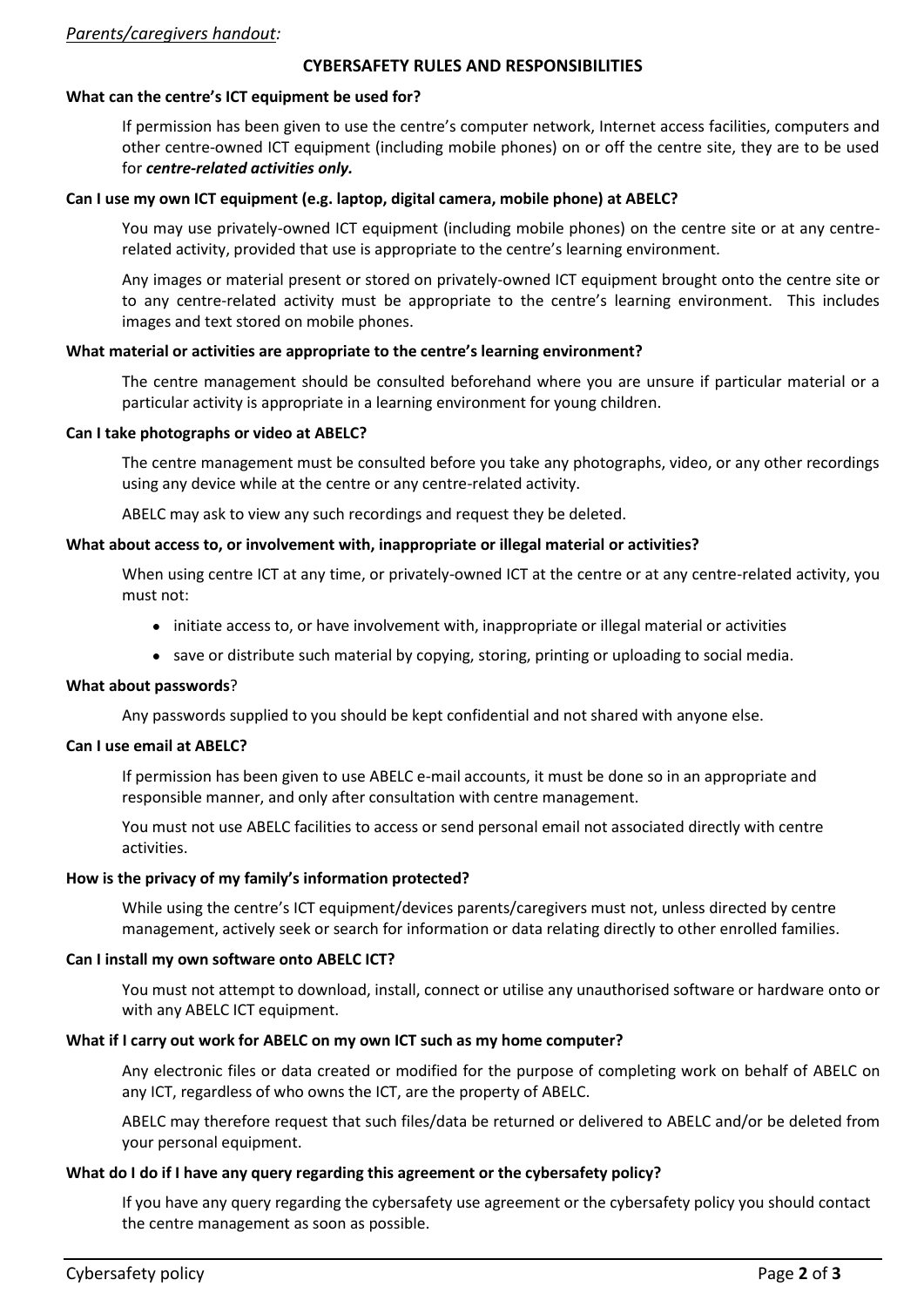#### *Parents/caregivers handout:*

#### **CYBERSAFETY RULES AND RESPONSIBILITIES**

### **What can the centre's ICT equipment be used for?**

If permission has been given to use the centre's computer network, Internet access facilities, computers and other centre-owned ICT equipment (including mobile phones) on or off the centre site, they are to be used for *centre-related activities only.*

# **Can I use my own ICT equipment (e.g. laptop, digital camera, mobile phone) at ABELC?**

You may use privately-owned ICT equipment (including mobile phones) on the centre site or at any centrerelated activity, provided that use is appropriate to the centre's learning environment.

Any images or material present or stored on privately-owned ICT equipment brought onto the centre site or to any centre-related activity must be appropriate to the centre's learning environment. This includes images and text stored on mobile phones.

# **What material or activities are appropriate to the centre's learning environment?**

The centre management should be consulted beforehand where you are unsure if particular material or a particular activity is appropriate in a learning environment for young children.

# **Can I take photographs or video at ABELC?**

The centre management must be consulted before you take any photographs, video, or any other recordings using any device while at the centre or any centre-related activity.

ABELC may ask to view any such recordings and request they be deleted.

# **What about access to, or involvement with, inappropriate or illegal material or activities?**

When using centre ICT at any time, or privately-owned ICT at the centre or at any centre-related activity, you must not:

- initiate access to, or have involvement with, inappropriate or illegal material or activities
- save or distribute such material by copying, storing, printing or uploading to social media.

### **What about passwords**?

Any passwords supplied to you should be kept confidential and not shared with anyone else.

### **Can I use email at ABELC?**

If permission has been given to use ABELC e-mail accounts, it must be done so in an appropriate and responsible manner, and only after consultation with centre management.

You must not use ABELC facilities to access or send personal email not associated directly with centre activities.

# **How is the privacy of my family's information protected?**

While using the centre's ICT equipment/devices parents/caregivers must not, unless directed by centre management, actively seek or search for information or data relating directly to other enrolled families.

# **Can I install my own software onto ABELC ICT?**

You must not attempt to download, install, connect or utilise any unauthorised software or hardware onto or with any ABELC ICT equipment.

# **What if I carry out work for ABELC on my own ICT such as my home computer?**

Any electronic files or data created or modified for the purpose of completing work on behalf of ABELC on any ICT, regardless of who owns the ICT, are the property of ABELC.

ABELC may therefore request that such files/data be returned or delivered to ABELC and/or be deleted from your personal equipment.

### **What do I do if I have any query regarding this agreement or the cybersafety policy?**

If you have any query regarding the cybersafety use agreement or the cybersafety policy you should contact the centre management as soon as possible.